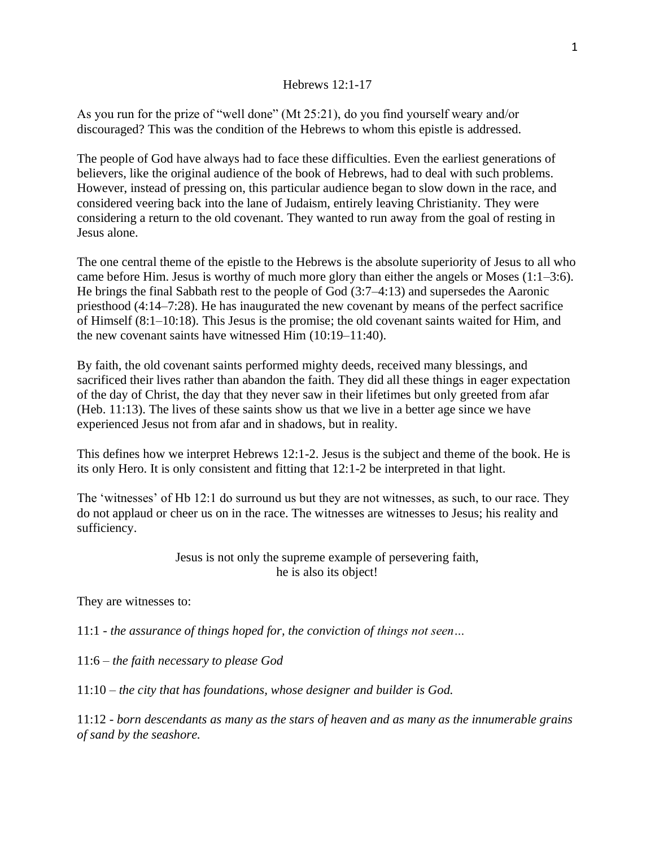## Hebrews 12:1-17

As you run for the prize of "well done" (Mt 25:21), do you find yourself weary and/or discouraged? This was the condition of the Hebrews to whom this epistle is addressed.

The people of God have always had to face these difficulties. Even the earliest generations of believers, like the original audience of the book of Hebrews, had to deal with such problems. However, instead of pressing on, this particular audience began to slow down in the race, and considered veering back into the lane of Judaism, entirely leaving Christianity. They were considering a return to the old covenant. They wanted to run away from the goal of resting in Jesus alone.

The one central theme of the epistle to the Hebrews is the absolute superiority of Jesus to all who came before Him. Jesus is worthy of much more glory than either the angels or Moses (1:1–3:6). He brings the final Sabbath rest to the people of God (3:7–4:13) and supersedes the Aaronic priesthood (4:14–7:28). He has inaugurated the new covenant by means of the perfect sacrifice of Himself (8:1–10:18). This Jesus is the promise; the old covenant saints waited for Him, and the new covenant saints have witnessed Him (10:19–11:40).

By faith, the old covenant saints performed mighty deeds, received many blessings, and sacrificed their lives rather than abandon the faith. They did all these things in eager expectation of the day of Christ, the day that they never saw in their lifetimes but only greeted from afar (Heb. 11:13). The lives of these saints show us that we live in a better age since we have experienced Jesus not from afar and in shadows, but in reality.

This defines how we interpret Hebrews 12:1-2. Jesus is the subject and theme of the book. He is its only Hero. It is only consistent and fitting that 12:1-2 be interpreted in that light.

The 'witnesses' of Hb 12:1 do surround us but they are not witnesses, as such, to our race. They do not applaud or cheer us on in the race. The witnesses are witnesses to Jesus; his reality and sufficiency.

> Jesus is not only the supreme example of persevering faith, he is also its object!

They are witnesses to:

11:1 - *the assurance of things hoped for, the conviction of things not seen…*

11:6 – *the faith necessary to please God*

11:10 – *the city that has foundations, whose designer and builder is God.*

11:12 - *born descendants as many as the stars of heaven and as many as the innumerable grains of sand by the seashore.*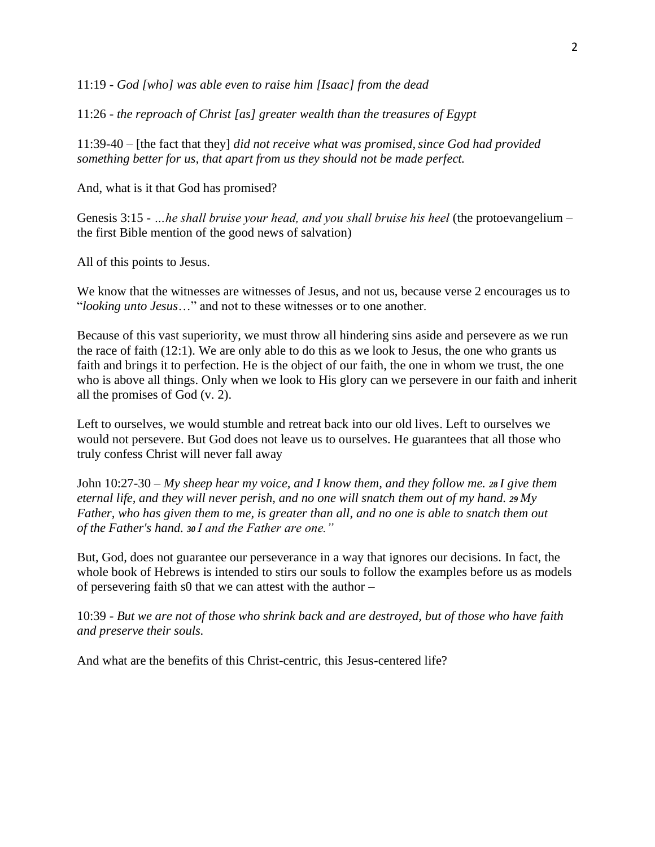11:19 - *God [who] was able even to raise him [Isaac] from the dead*

11:26 - *the reproach of Christ [as] greater wealth than the treasures of Egypt*

11:39-40 – [the fact that they] *did not receive what was promised, since God had provided something better for us, that apart from us they should not be made perfect.*

And, what is it that God has promised?

Genesis 3:15 - *…he shall bruise your head, and you shall bruise his heel* (the protoevangelium – the first Bible mention of the good news of salvation)

All of this points to Jesus.

We know that the witnesses are witnesses of Jesus, and not us, because verse 2 encourages us to "*looking unto Jesus*…" and not to these witnesses or to one another.

Because of this vast superiority, we must throw all hindering sins aside and persevere as we run the race of faith (12:1). We are only able to do this as we look to Jesus, the one who grants us faith and brings it to perfection. He is the object of our faith, the one in whom we trust, the one who is above all things. Only when we look to His glory can we persevere in our faith and inherit all the promises of God (v. 2).

Left to ourselves, we would stumble and retreat back into our old lives. Left to ourselves we would not persevere. But God does not leave us to ourselves. He guarantees that all those who truly confess Christ will never fall away

John 10:27-30 – *My sheep hear my voice, and I know them, and they follow me. <sup>28</sup> I give them eternal life, and they will never perish, and no one will snatch them out of my hand. <sup>29</sup> My Father, who has given them to me, is greater than all, and no one is able to snatch them out of the Father's hand. <sup>30</sup> I and the Father are one."*

But, God, does not guarantee our perseverance in a way that ignores our decisions. In fact, the whole book of Hebrews is intended to stirs our souls to follow the examples before us as models of persevering faith s0 that we can attest with the author –

10:39 - *But we are not of those who shrink back and are destroyed, but of those who have faith and preserve their souls.*

And what are the benefits of this Christ-centric, this Jesus-centered life?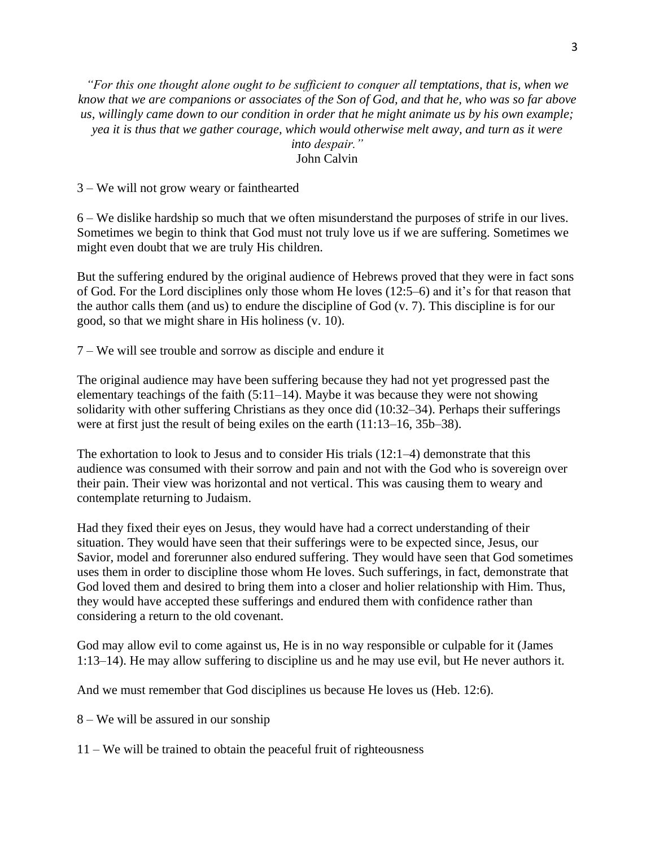*"For this one thought alone ought to be sufficient to conquer all temptations, that is, when we know that we are companions or associates of the Son of God, and that he, who was so far above us, willingly came down to our condition in order that he might animate us by his own example; yea it is thus that we gather courage, which would otherwise melt away, and turn as it were into despair."* John Calvin

3 – We will not grow weary or fainthearted

6 – We dislike hardship so much that we often misunderstand the purposes of strife in our lives. Sometimes we begin to think that God must not truly love us if we are suffering. Sometimes we might even doubt that we are truly His children.

But the suffering endured by the original audience of Hebrews proved that they were in fact sons of God. For the Lord disciplines only those whom He loves (12:5–6) and it's for that reason that the author calls them (and us) to endure the discipline of God (v. 7). This discipline is for our good, so that we might share in His holiness (v. 10).

7 – We will see trouble and sorrow as disciple and endure it

The original audience may have been suffering because they had not yet progressed past the elementary teachings of the faith (5:11–14). Maybe it was because they were not showing solidarity with other suffering Christians as they once did (10:32–34). Perhaps their sufferings were at first just the result of being exiles on the earth (11:13–16, 35b–38).

The exhortation to look to Jesus and to consider His trials (12:1–4) demonstrate that this audience was consumed with their sorrow and pain and not with the God who is sovereign over their pain. Their view was horizontal and not vertical. This was causing them to weary and contemplate returning to Judaism.

Had they fixed their eyes on Jesus, they would have had a correct understanding of their situation. They would have seen that their sufferings were to be expected since, Jesus, our Savior, model and forerunner also endured suffering. They would have seen that God sometimes uses them in order to discipline those whom He loves. Such sufferings, in fact, demonstrate that God loved them and desired to bring them into a closer and holier relationship with Him. Thus, they would have accepted these sufferings and endured them with confidence rather than considering a return to the old covenant.

God may allow evil to come against us, He is in no way responsible or culpable for it (James 1:13–14). He may allow suffering to discipline us and he may use evil, but He never authors it.

And we must remember that God disciplines us because He loves us [\(Heb.](http://biblia.com/bible/esv/Heb.%2012.6) 12:6).

8 – We will be assured in our sonship

11 – We will be trained to obtain the peaceful fruit of righteousness